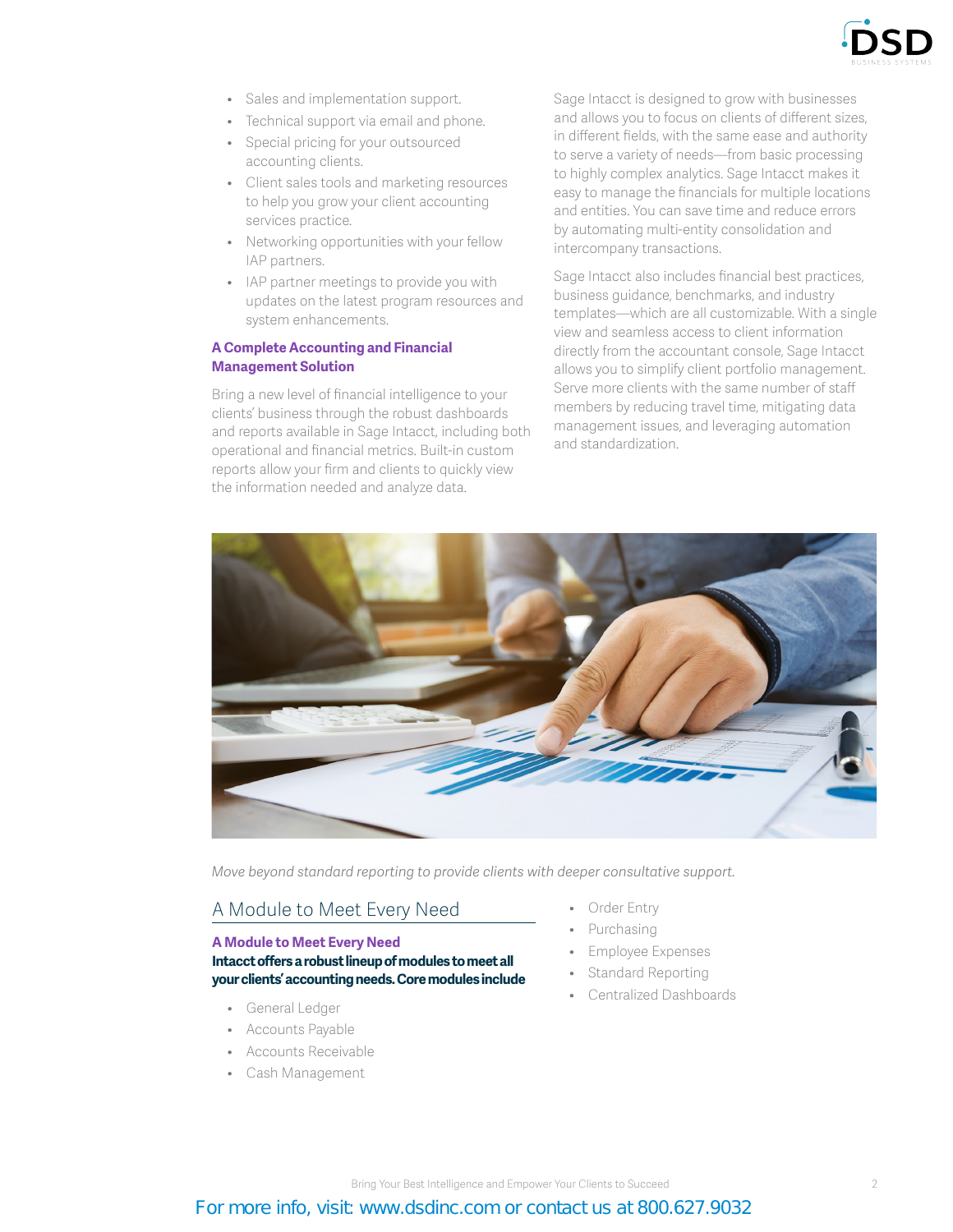

- Sales and implementation support.
- Technical support via email and phone.
- Special pricing for your outsourced accounting clients.
- Client sales tools and marketing resources to help you grow your client accounting services practice.
- Networking opportunities with your fellow IAP partners.
- IAP partner meetings to provide you with updates on the latest program resources and system enhancements.

#### **A Complete Accounting and Financial Management Solution**

Bring a new level of financial intelligence to your clients' business through the robust dashboards and reports available in Sage Intacct, including both operational and financial metrics. Built-in custom reports allow your firm and clients to quickly view the information needed and analyze data.

Sage Intacct is designed to grow with businesses and allows you to focus on clients of different sizes, in different fields, with the same ease and authority to serve a variety of needs—from basic processing to highly complex analytics. Sage Intacct makes it easy to manage the financials for multiple locations and entities. You can save time and reduce errors by automating multi-entity consolidation and intercompany transactions.

Sage Intacct also includes financial best practices, business guidance, benchmarks, and industry templates—which are all customizable. With a single view and seamless access to client information directly from the accountant console, Sage Intacct allows you to simplify client portfolio management. Serve more clients with the same number of staff members by reducing travel time, mitigating data management issues, and leveraging automation and standardization.



*Move beyond standard reporting to provide clients with deeper consultative support.*

# A Module to Meet Every Need

### **A Module to Meet Every Need Intacct offers a robust lineup of modules to meet all your clients' accounting needs. Core modules include**

- General Ledger
- Accounts Payable
- Accounts Receivable
- Cash Management
- Order Entry
- Purchasing
- Employee Expenses
- Standard Reporting
- Centralized Dashboards